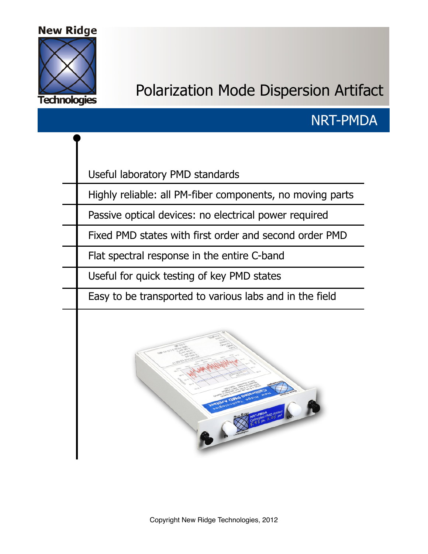#### **New Ridge**



# Polarization Mode Dispersion Artifact

### NRT-PMDA

Useful laboratory PMD standards

Highly reliable: all PM-fiber components, no moving parts

Passive optical devices: no electrical power required

Fixed PMD states with first order and second order PMD

Flat spectral response in the entire C-band

Useful for quick testing of key PMD states

Easy to be transported to various labs and in the field